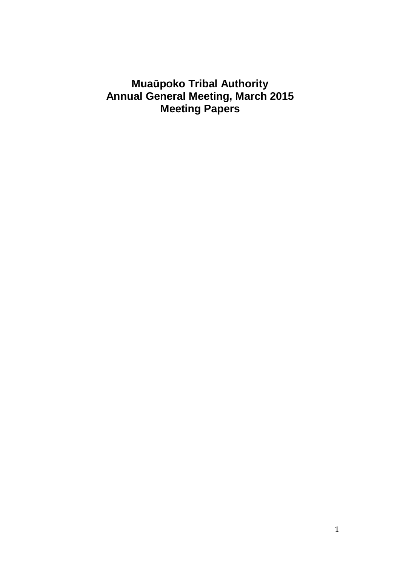## **Mua**ū**poko Tribal Authority Annual General Meeting, March 2015 Meeting Papers**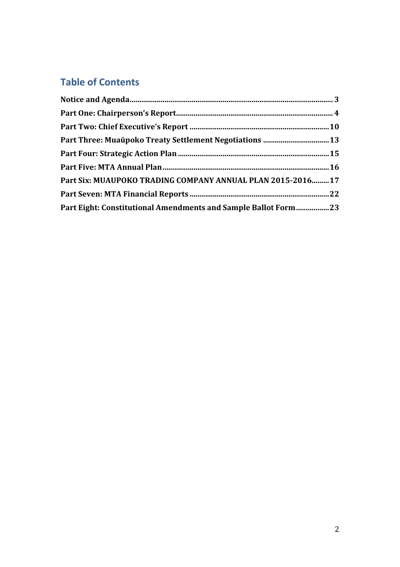# Table of Contents

| Part Three: Muaūpoko Treaty Settlement Negotiations  13        |  |
|----------------------------------------------------------------|--|
|                                                                |  |
|                                                                |  |
| Part Six: MUAUPOKO TRADING COMPANY ANNUAL PLAN 2015-2016 17    |  |
|                                                                |  |
| Part Eight: Constitutional Amendments and Sample Ballot Form23 |  |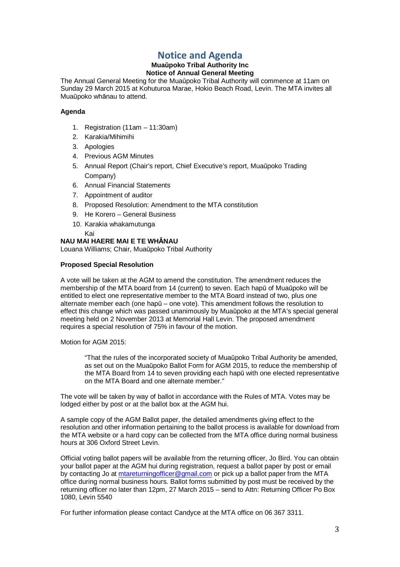## Notice and Agenda

#### **Mua**ū**poko Tribal Authority Inc Notice of Annual General Meeting**

The Annual General Meeting for the Muaūpoko Tribal Authority will commence at 11am on Sunday 29 March 2015 at Kohuturoa Marae, Hokio Beach Road, Levin. The MTA invites all Muaūpoko whānau to attend.

#### **Agenda**

- 1. Registration (11am 11:30am)
- 2. Karakia/Mihimihi
- 3. Apologies
- 4. Previous AGM Minutes
- 5. Annual Report (Chair's report, Chief Executive's report, Muaūpoko Trading Company)
- 6. Annual Financial Statements
- 7. Appointment of auditor
- 8. Proposed Resolution: Amendment to the MTA constitution
- 9. He Korero General Business
- 10. Karakia whakamutunga

## Kai

**NAU MAI HAERE MAI E TE WH**Ā**NAU**  Louana Williams; Chair, Muaūpoko Tribal Authority

### **Proposed Special Resolution**

A vote will be taken at the AGM to amend the constitution. The amendment reduces the membership of the MTA board from 14 (current) to seven. Each hapū of Muaūpoko will be entitled to elect one representative member to the MTA Board instead of two, plus one alternate member each (one hapū – one vote). This amendment follows the resolution to effect this change which was passed unanimously by Muaūpoko at the MTA's special general meeting held on 2 November 2013 at Memorial Hall Levin. The proposed amendment requires a special resolution of 75% in favour of the motion.

Motion for AGM 2015:

"That the rules of the incorporated society of Muaūpoko Tribal Authority be amended, as set out on the Muaūpoko Ballot Form for AGM 2015, to reduce the membership of the MTA Board from 14 to seven providing each hapū with one elected representative on the MTA Board and one alternate member."

The vote will be taken by way of ballot in accordance with the Rules of MTA. Votes may be lodged either by post or at the ballot box at the AGM hui.

A sample copy of the AGM Ballot paper, the detailed amendments giving effect to the resolution and other information pertaining to the ballot process is available for download from the MTA website or a hard copy can be collected from the MTA office during normal business hours at 306 Oxford Street Levin.

Official voting ballot papers will be available from the returning officer, Jo Bird. You can obtain your ballot paper at the AGM hui during registration, request a ballot paper by post or email by contacting Jo at mtareturningofficer@gmail.com or pick up a ballot paper from the MTA office during normal business hours. Ballot forms submitted by post must be received by the returning officer no later than 12pm, 27 March 2015 – send to Attn: Returning Officer Po Box 1080, Levin 5540

For further information please contact Candyce at the MTA office on 06 367 3311.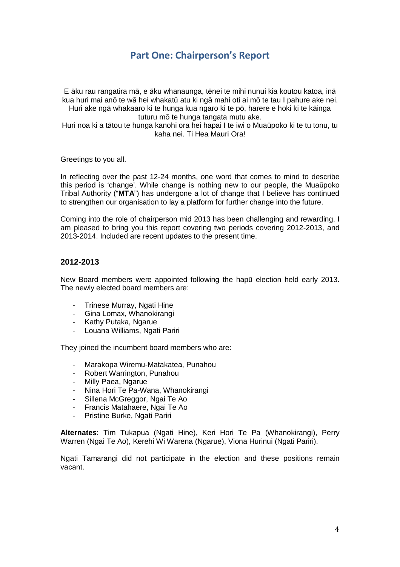## Part One: Chairperson's Report

E āku rau rangatira mā, e āku whanaunga, tēnei te mihi nunui kia koutou katoa, inā kua huri mai anō te wā hei whakatū atu ki ngā mahi oti ai mō te tau I pahure ake nei. Huri ake ngā whakaaro ki te hunga kua ngaro ki te pō, harere e hoki ki te kāinga

tuturu mō te hunga tangata mutu ake.

Huri noa ki a tātou te hunga kanohi ora hei hapai I te iwi o Muaūpoko ki te tu tonu, tu kaha nei. Ti Hea Mauri Ora!

Greetings to you all.

In reflecting over the past 12-24 months, one word that comes to mind to describe this period is 'change'. While change is nothing new to our people, the Muaūpoko Tribal Authority ("**MTA**") has undergone a lot of change that I believe has continued to strengthen our organisation to lay a platform for further change into the future.

Coming into the role of chairperson mid 2013 has been challenging and rewarding. I am pleased to bring you this report covering two periods covering 2012-2013, and 2013-2014. Included are recent updates to the present time.

## **2012-2013**

New Board members were appointed following the hapū election held early 2013. The newly elected board members are:

- Trinese Murray, Ngati Hine<br>- Gina Lomax Whanokirangi
- Gina Lomax, Whanokirangi
- Kathy Putaka, Ngarue
- Louana Williams, Ngati Pariri

They joined the incumbent board members who are:

- Marakopa Wiremu-Matakatea, Punahou
- Robert Warrington, Punahou
- Milly Paea, Ngarue
- Nina Hori Te Pa-Wana, Whanokirangi
- Sillena McGreggor, Ngai Te Ao
- Francis Matahaere, Ngai Te Ao
- Pristine Burke, Ngati Pariri

**Alternates**: Tim Tukapua (Ngati Hine), Keri Hori Te Pa (Whanokirangi), Perry Warren (Ngai Te Ao), Kerehi Wi Warena (Ngarue), Viona Hurinui (Ngati Pariri).

Ngati Tamarangi did not participate in the election and these positions remain vacant.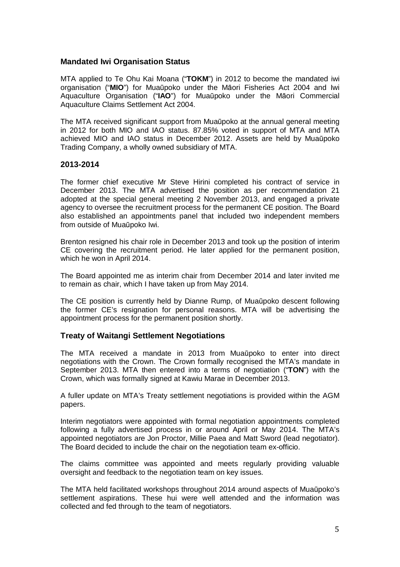## **Mandated Iwi Organisation Status**

MTA applied to Te Ohu Kai Moana ("**TOKM**") in 2012 to become the mandated iwi organisation ("**MIO**") for Muaūpoko under the Māori Fisheries Act 2004 and Iwi Aquaculture Organisation ("**IAO**") for Muaūpoko under the Māori Commercial Aquaculture Claims Settlement Act 2004.

The MTA received significant support from Muaūpoko at the annual general meeting in 2012 for both MIO and IAO status. 87.85% voted in support of MTA and MTA achieved MIO and IAO status in December 2012. Assets are held by Muaūpoko Trading Company, a wholly owned subsidiary of MTA.

## **2013-2014**

The former chief executive Mr Steve Hirini completed his contract of service in December 2013. The MTA advertised the position as per recommendation 21 adopted at the special general meeting 2 November 2013, and engaged a private agency to oversee the recruitment process for the permanent CE position. The Board also established an appointments panel that included two independent members from outside of Muaūpoko Iwi.

Brenton resigned his chair role in December 2013 and took up the position of interim CE covering the recruitment period. He later applied for the permanent position, which he won in April 2014.

The Board appointed me as interim chair from December 2014 and later invited me to remain as chair, which I have taken up from May 2014.

The CE position is currently held by Dianne Rump, of Muaūpoko descent following the former CE's resignation for personal reasons. MTA will be advertising the appointment process for the permanent position shortly.

## **Treaty of Waitangi Settlement Negotiations**

The MTA received a mandate in 2013 from Muaūpoko to enter into direct negotiations with the Crown. The Crown formally recognised the MTA's mandate in September 2013. MTA then entered into a terms of negotiation ("**TON**") with the Crown, which was formally signed at Kawiu Marae in December 2013.

A fuller update on MTA's Treaty settlement negotiations is provided within the AGM papers.

Interim negotiators were appointed with formal negotiation appointments completed following a fully advertised process in or around April or May 2014. The MTA's appointed negotiators are Jon Proctor, Millie Paea and Matt Sword (lead negotiator). The Board decided to include the chair on the negotiation team ex-officio.

The claims committee was appointed and meets regularly providing valuable oversight and feedback to the negotiation team on key issues.

The MTA held facilitated workshops throughout 2014 around aspects of Muaūpoko's settlement aspirations. These hui were well attended and the information was collected and fed through to the team of negotiators.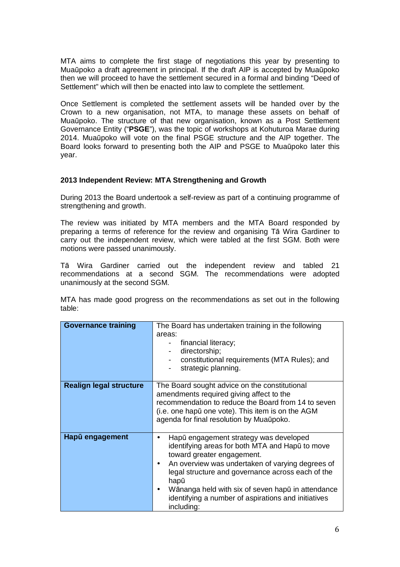MTA aims to complete the first stage of negotiations this year by presenting to Muaūpoko a draft agreement in principal. If the draft AIP is accepted by Muaūpoko then we will proceed to have the settlement secured in a formal and binding "Deed of Settlement" which will then be enacted into law to complete the settlement.

Once Settlement is completed the settlement assets will be handed over by the Crown to a new organisation, not MTA, to manage these assets on behalf of Muaūpoko. The structure of that new organisation, known as a Post Settlement Governance Entity ("**PSGE**"), was the topic of workshops at Kohuturoa Marae during 2014. Muaūpoko will vote on the final PSGE structure and the AIP together. The Board looks forward to presenting both the AIP and PSGE to Muaūpoko later this year.

### **2013 Independent Review: MTA Strengthening and Growth**

During 2013 the Board undertook a self-review as part of a continuing programme of strengthening and growth.

The review was initiated by MTA members and the MTA Board responded by preparing a terms of reference for the review and organising Tā Wira Gardiner to carry out the independent review, which were tabled at the first SGM. Both were motions were passed unanimously.

Tā Wira Gardiner carried out the independent review and tabled 21 recommendations at a second SGM. The recommendations were adopted unanimously at the second SGM.

MTA has made good progress on the recommendations as set out in the following table:

| <b>Governance training</b>     | The Board has undertaken training in the following<br>areas:<br>financial literacy;<br>directorship;<br>constitutional requirements (MTA Rules); and<br>strategic planning.                                                                                                                                                                                                     |
|--------------------------------|---------------------------------------------------------------------------------------------------------------------------------------------------------------------------------------------------------------------------------------------------------------------------------------------------------------------------------------------------------------------------------|
| <b>Realign legal structure</b> | The Board sought advice on the constitutional<br>amendments required giving affect to the<br>recommendation to reduce the Board from 14 to seven<br>(i.e. one hapū one vote). This item is on the AGM<br>agenda for final resolution by Muaūpoko.                                                                                                                               |
| Hapū engagement                | Hapū engagement strategy was developed<br>identifying areas for both MTA and Hapū to move<br>toward greater engagement.<br>An overview was undertaken of varying degrees of<br>$\bullet$<br>legal structure and governance across each of the<br>hapū<br>Wānanga held with six of seven hapū in attendance<br>identifying a number of aspirations and initiatives<br>including: |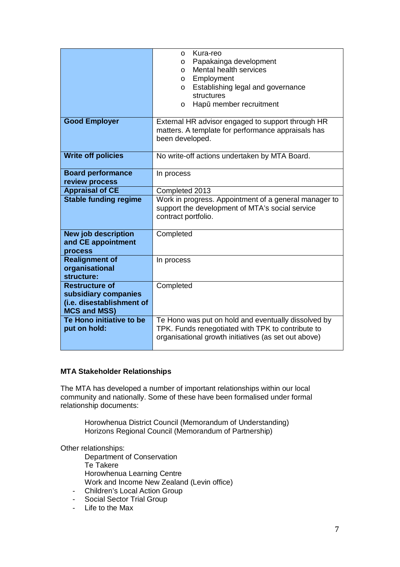|                                                  | Kura-reo<br>$\circ$                                   |  |
|--------------------------------------------------|-------------------------------------------------------|--|
|                                                  | Papakainga development<br>$\circ$                     |  |
|                                                  | Mental health services<br>$\circ$                     |  |
|                                                  | Employment<br>O                                       |  |
|                                                  | Establishing legal and governance<br>$\circ$          |  |
|                                                  | structures                                            |  |
|                                                  | Hapū member recruitment<br>O                          |  |
|                                                  |                                                       |  |
| <b>Good Employer</b>                             | External HR advisor engaged to support through HR     |  |
|                                                  | matters. A template for performance appraisals has    |  |
|                                                  | been developed.                                       |  |
|                                                  |                                                       |  |
| <b>Write off policies</b>                        | No write-off actions undertaken by MTA Board.         |  |
|                                                  |                                                       |  |
| <b>Board performance</b>                         | In process                                            |  |
| review process                                   |                                                       |  |
| <b>Appraisal of CE</b>                           | Completed 2013                                        |  |
| <b>Stable funding regime</b>                     | Work in progress. Appointment of a general manager to |  |
|                                                  |                                                       |  |
|                                                  | support the development of MTA's social service       |  |
|                                                  | contract portfolio.                                   |  |
|                                                  |                                                       |  |
| <b>New job description</b>                       | Completed                                             |  |
| and CE appointment                               |                                                       |  |
| process                                          |                                                       |  |
| <b>Realignment of</b>                            | In process                                            |  |
| organisational                                   |                                                       |  |
| structure:                                       |                                                       |  |
| <b>Restructure of</b>                            | Completed                                             |  |
| subsidiary companies                             |                                                       |  |
|                                                  |                                                       |  |
| (i.e. disestablishment of<br><b>MCS and MSS)</b> |                                                       |  |
| Te Hono initiative to be                         | Te Hono was put on hold and eventually dissolved by   |  |
| put on hold:                                     | TPK. Funds renegotiated with TPK to contribute to     |  |
|                                                  | organisational growth initiatives (as set out above)  |  |

## **MTA Stakeholder Relationships**

The MTA has developed a number of important relationships within our local community and nationally. Some of these have been formalised under formal relationship documents:

 Horowhenua District Council (Memorandum of Understanding) Horizons Regional Council (Memorandum of Partnership)

Other relationships:

 Department of Conservation Te Takere Horowhenua Learning Centre Work and Income New Zealand (Levin office)

- Children's Local Action Group
- Social Sector Trial Group
- Life to the Max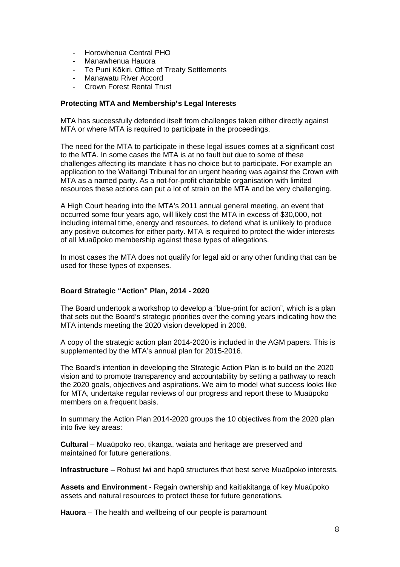- Horowhenua Central PHO
- Manawhenua Hauora
- Te Puni Kōkiri, Office of Treaty Settlements
- Manawatu River Accord
- Crown Forest Rental Trust

### **Protecting MTA and Membership's Legal Interests**

MTA has successfully defended itself from challenges taken either directly against MTA or where MTA is required to participate in the proceedings.

The need for the MTA to participate in these legal issues comes at a significant cost to the MTA. In some cases the MTA is at no fault but due to some of these challenges affecting its mandate it has no choice but to participate. For example an application to the Waitangi Tribunal for an urgent hearing was against the Crown with MTA as a named party. As a not-for-profit charitable organisation with limited resources these actions can put a lot of strain on the MTA and be very challenging.

A High Court hearing into the MTA's 2011 annual general meeting, an event that occurred some four years ago, will likely cost the MTA in excess of \$30,000, not including internal time, energy and resources, to defend what is unlikely to produce any positive outcomes for either party. MTA is required to protect the wider interests of all Muaūpoko membership against these types of allegations.

In most cases the MTA does not qualify for legal aid or any other funding that can be used for these types of expenses.

## **Board Strategic "Action" Plan, 2014 - 2020**

The Board undertook a workshop to develop a "blue-print for action", which is a plan that sets out the Board's strategic priorities over the coming years indicating how the MTA intends meeting the 2020 vision developed in 2008.

A copy of the strategic action plan 2014-2020 is included in the AGM papers. This is supplemented by the MTA's annual plan for 2015-2016.

The Board's intention in developing the Strategic Action Plan is to build on the 2020 vision and to promote transparency and accountability by setting a pathway to reach the 2020 goals, objectives and aspirations. We aim to model what success looks like for MTA, undertake regular reviews of our progress and report these to Muaūpoko members on a frequent basis.

In summary the Action Plan 2014-2020 groups the 10 objectives from the 2020 plan into five key areas:

**Cultural** – Muaūpoko reo, tikanga, waiata and heritage are preserved and maintained for future generations.

**Infrastructure** – Robust Iwi and hapū structures that best serve Muaūpoko interests.

**Assets and Environment** - Regain ownership and kaitiakitanga of key Muaūpoko assets and natural resources to protect these for future generations.

**Hauora** – The health and wellbeing of our people is paramount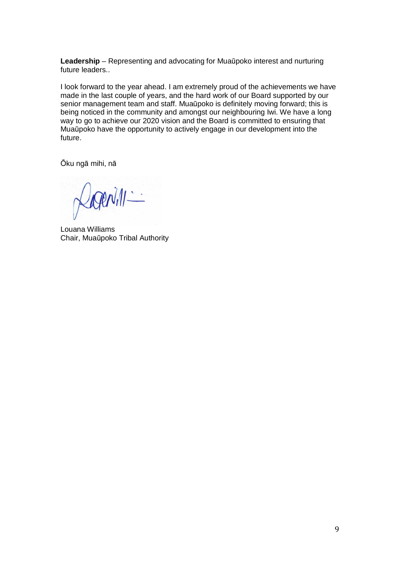**Leadership** – Representing and advocating for Muaūpoko interest and nurturing future leaders..

I look forward to the year ahead. I am extremely proud of the achievements we have made in the last couple of years, and the hard work of our Board supported by our senior management team and staff. Muaūpoko is definitely moving forward; this is being noticed in the community and amongst our neighbouring Iwi. We have a long way to go to achieve our 2020 vision and the Board is committed to ensuring that Muaūpoko have the opportunity to actively engage in our development into the future.

Ōku ngā mihi, nā

Tenill -

Louana Williams Chair, Muaūpoko Tribal Authority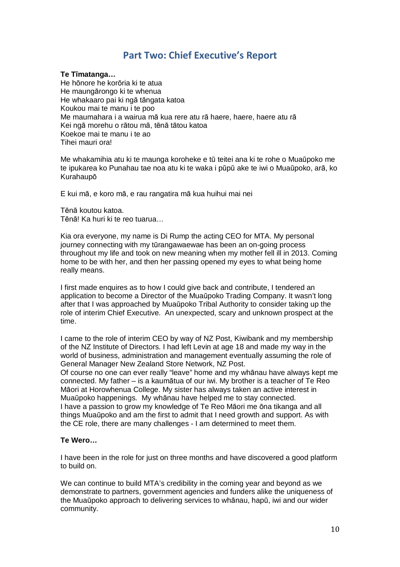## Part Two: Chief Executive's Report

## **Te T**ī**matanga…**

He hōnore he korōria ki te atua He maungārongo ki te whenua He whakaaro pai ki ngā tāngata katoa Koukou mai te manu i te poo Me maumahara i a wairua mā kua rere atu rā haere, haere, haere atu rā Kei ngā morehu o rātou mā, tēnā tātou katoa Koekoe mai te manu i te ao Tihei mauri ora!

Me whakamihia atu ki te maunga koroheke e tū teitei ana ki te rohe o Muaūpoko me te ipukarea ko Punahau tae noa atu ki te waka i pūpū ake te iwi o Muaūpoko, arā, ko Kurahaupō

E kui mā, e koro mā, e rau rangatira mā kua huihui mai nei

Tēnā koutou katoa. Tēnā! Ka huri ki te reo tuarua…

Kia ora everyone, my name is Di Rump the acting CEO for MTA. My personal journey connecting with my tūrangawaewae has been an on-going process throughout my life and took on new meaning when my mother fell ill in 2013. Coming home to be with her, and then her passing opened my eyes to what being home really means.

I first made enquires as to how I could give back and contribute, I tendered an application to become a Director of the Muaūpoko Trading Company. It wasn't long after that I was approached by Muaūpoko Tribal Authority to consider taking up the role of interim Chief Executive. An unexpected, scary and unknown prospect at the time.

I came to the role of interim CEO by way of NZ Post, Kiwibank and my membership of the NZ Institute of Directors. I had left Levin at age 18 and made my way in the world of business, administration and management eventually assuming the role of General Manager New Zealand Store Network, NZ Post.

Of course no one can ever really "leave" home and my whānau have always kept me connected. My father – is a kaumātua of our iwi. My brother is a teacher of Te Reo Māori at Horowhenua College. My sister has always taken an active interest in Muaūpoko happenings. My whānau have helped me to stay connected. I have a passion to grow my knowledge of Te Reo Māori me ōna tikanga and all things Muaūpoko and am the first to admit that I need growth and support. As with the CE role, there are many challenges - I am determined to meet them.

### **Te Wero…**

I have been in the role for just on three months and have discovered a good platform to build on.

We can continue to build MTA's credibility in the coming year and beyond as we demonstrate to partners, government agencies and funders alike the uniqueness of the Muaūpoko approach to delivering services to whānau, hapū, iwi and our wider community.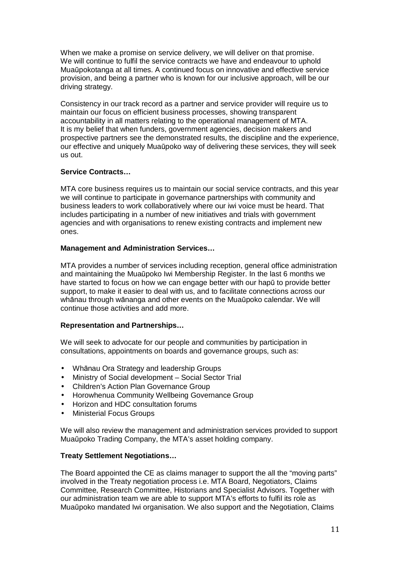When we make a promise on service delivery, we will deliver on that promise. We will continue to fulfil the service contracts we have and endeavour to uphold Muaūpokotanga at all times. A continued focus on innovative and effective service provision, and being a partner who is known for our inclusive approach, will be our driving strategy.

Consistency in our track record as a partner and service provider will require us to maintain our focus on efficient business processes, showing transparent accountability in all matters relating to the operational management of MTA. It is my belief that when funders, government agencies, decision makers and prospective partners see the demonstrated results, the discipline and the experience, our effective and uniquely Muaūpoko way of delivering these services, they will seek us out.

## **Service Contracts…**

MTA core business requires us to maintain our social service contracts, and this year we will continue to participate in governance partnerships with community and business leaders to work collaboratively where our iwi voice must be heard. That includes participating in a number of new initiatives and trials with government agencies and with organisations to renew existing contracts and implement new ones.

## **Management and Administration Services…**

MTA provides a number of services including reception, general office administration and maintaining the Muaūpoko Iwi Membership Register. In the last 6 months we have started to focus on how we can engage better with our hapū to provide better support, to make it easier to deal with us, and to facilitate connections across our whānau through wānanga and other events on the Muaūpoko calendar. We will continue those activities and add more.

## **Representation and Partnerships…**

We will seek to advocate for our people and communities by participation in consultations, appointments on boards and governance groups, such as:

- Whānau Ora Strategy and leadership Groups
- Ministry of Social development Social Sector Trial
- Children's Action Plan Governance Group
- Horowhenua Community Wellbeing Governance Group
- Horizon and HDC consultation forums
- Ministerial Focus Groups

We will also review the management and administration services provided to support Muaūpoko Trading Company, the MTA's asset holding company.

## **Treaty Settlement Negotiations…**

The Board appointed the CE as claims manager to support the all the "moving parts" involved in the Treaty negotiation process i.e. MTA Board, Negotiators, Claims Committee, Research Committee, Historians and Specialist Advisors. Together with our administration team we are able to support MTA's efforts to fulfil its role as Muaūpoko mandated Iwi organisation. We also support and the Negotiation, Claims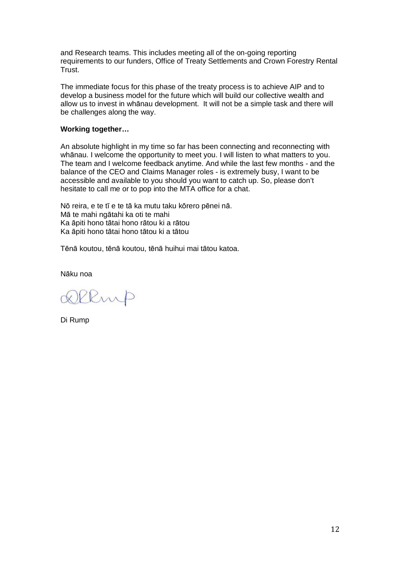and Research teams. This includes meeting all of the on-going reporting requirements to our funders, Office of Treaty Settlements and Crown Forestry Rental Trust.

The immediate focus for this phase of the treaty process is to achieve AIP and to develop a business model for the future which will build our collective wealth and allow us to invest in whānau development. It will not be a simple task and there will be challenges along the way.

### **Working together…**

An absolute highlight in my time so far has been connecting and reconnecting with whānau. I welcome the opportunity to meet you. I will listen to what matters to you. The team and I welcome feedback anytime. And while the last few months - and the balance of the CEO and Claims Manager roles - is extremely busy, I want to be accessible and available to you should you want to catch up. So, please don't hesitate to call me or to pop into the MTA office for a chat.

Nō reira, e te tī e te tā ka mutu taku kōrero pēnei nā. Mā te mahi ngātahi ka oti te mahi Ka āpiti hono tātai hono rātou ki a rātou Ka āpiti hono tātai hono tātou ki a tātou

Tēnā koutou, tēnā koutou, tēnā huihui mai tātou katoa.

Nāku noa

Remp

Di Rump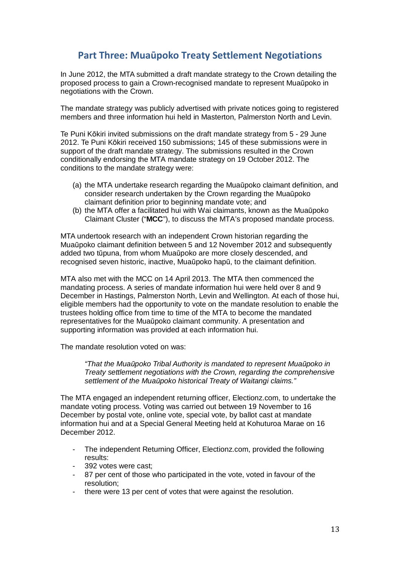## Part Three: Muaūpoko Treaty Settlement Negotiations

In June 2012, the MTA submitted a draft mandate strategy to the Crown detailing the proposed process to gain a Crown-recognised mandate to represent Muaūpoko in negotiations with the Crown.

The mandate strategy was publicly advertised with private notices going to registered members and three information hui held in Masterton, Palmerston North and Levin.

Te Puni Kōkiri invited submissions on the draft mandate strategy from 5 - 29 June 2012. Te Puni Kōkiri received 150 submissions; 145 of these submissions were in support of the draft mandate strategy. The submissions resulted in the Crown conditionally endorsing the MTA mandate strategy on 19 October 2012. The conditions to the mandate strategy were:

- (a) the MTA undertake research regarding the Muaūpoko claimant definition, and consider research undertaken by the Crown regarding the Muaūpoko claimant definition prior to beginning mandate vote; and
- (b) the MTA offer a facilitated hui with Wai claimants, known as the Muaūpoko Claimant Cluster ("**MCC**"), to discuss the MTA's proposed mandate process.

MTA undertook research with an independent Crown historian regarding the Muaūpoko claimant definition between 5 and 12 November 2012 and subsequently added two tūpuna, from whom Muaūpoko are more closely descended, and recognised seven historic, inactive, Muaūpoko hapū, to the claimant definition.

MTA also met with the MCC on 14 April 2013. The MTA then commenced the mandating process. A series of mandate information hui were held over 8 and 9 December in Hastings, Palmerston North, Levin and Wellington. At each of those hui, eligible members had the opportunity to vote on the mandate resolution to enable the trustees holding office from time to time of the MTA to become the mandated representatives for the Muaūpoko claimant community. A presentation and supporting information was provided at each information hui.

The mandate resolution voted on was:

"That the Muaūpoko Tribal Authority is mandated to represent Muaūpoko in Treaty settlement negotiations with the Crown, regarding the comprehensive settlement of the Muaūpoko historical Treaty of Waitangi claims."

The MTA engaged an independent returning officer, Electionz.com, to undertake the mandate voting process. Voting was carried out between 19 November to 16 December by postal vote, online vote, special vote, by ballot cast at mandate information hui and at a Special General Meeting held at Kohuturoa Marae on 16 December 2012.

- The independent Returning Officer, Electionz.com, provided the following results:
- 392 votes were cast:
- 87 per cent of those who participated in the vote, voted in favour of the resolution;
- there were 13 per cent of votes that were against the resolution.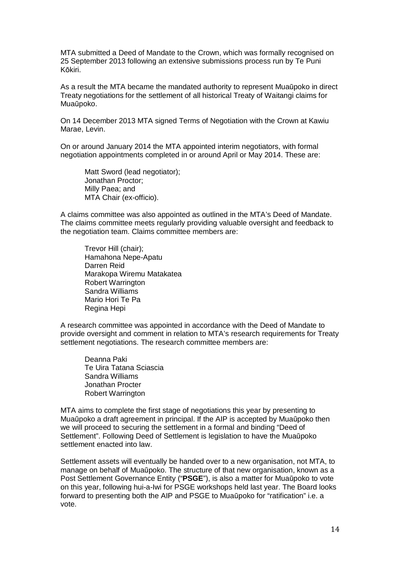MTA submitted a Deed of Mandate to the Crown, which was formally recognised on 25 September 2013 following an extensive submissions process run by Te Puni Kōkiri.

As a result the MTA became the mandated authority to represent Muaūpoko in direct Treaty negotiations for the settlement of all historical Treaty of Waitangi claims for Muaūpoko.

On 14 December 2013 MTA signed Terms of Negotiation with the Crown at Kawiu Marae, Levin.

On or around January 2014 the MTA appointed interim negotiators, with formal negotiation appointments completed in or around April or May 2014. These are:

Matt Sword (lead negotiator); Jonathan Proctor; Milly Paea; and MTA Chair (ex-officio).

A claims committee was also appointed as outlined in the MTA's Deed of Mandate. The claims committee meets regularly providing valuable oversight and feedback to the negotiation team. Claims committee members are:

Trevor Hill (chair); Hamahona Nepe-Apatu Darren Reid Marakopa Wiremu Matakatea Robert Warrington Sandra Williams Mario Hori Te Pa Regina Hepi

A research committee was appointed in accordance with the Deed of Mandate to provide oversight and comment in relation to MTA's research requirements for Treaty settlement negotiations. The research committee members are:

Deanna Paki Te Uira Tatana Sciascia Sandra Williams Jonathan Procter Robert Warrington

MTA aims to complete the first stage of negotiations this year by presenting to Muaūpoko a draft agreement in principal. If the AIP is accepted by Muaūpoko then we will proceed to securing the settlement in a formal and binding "Deed of Settlement". Following Deed of Settlement is legislation to have the Muaūpoko settlement enacted into law.

Settlement assets will eventually be handed over to a new organisation, not MTA, to manage on behalf of Muaūpoko. The structure of that new organisation, known as a Post Settlement Governance Entity ("**PSGE**"), is also a matter for Muaūpoko to vote on this year, following hui-a-Iwi for PSGE workshops held last year. The Board looks forward to presenting both the AIP and PSGE to Muaūpoko for "ratification" i.e. a vote.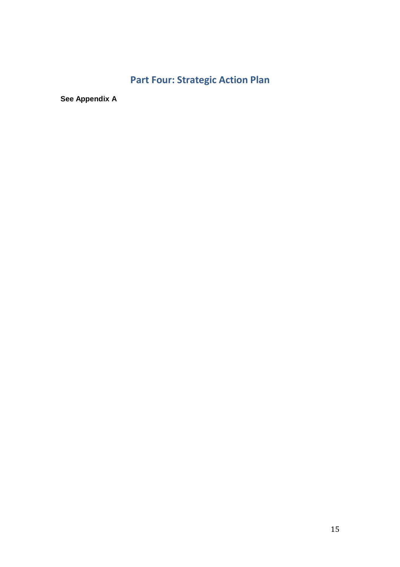# Part Four: Strategic Action Plan

**See Appendix A**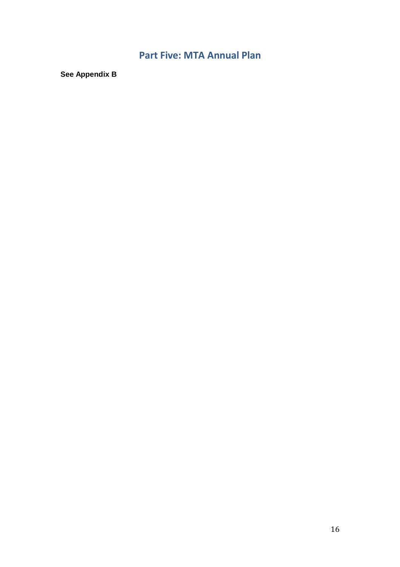## Part Five: MTA Annual Plan

**See Appendix B**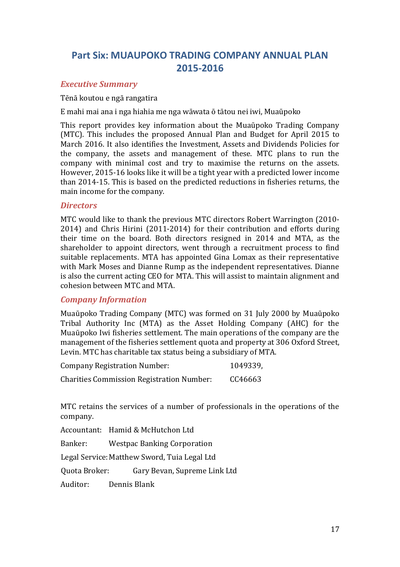## Part Six: MUAUPOKO TRADING COMPANY ANNUAL PLAN 2015-2016

## Executive Summary

## Tēnā koutou e ngā rangatira

E mahi mai ana i nga hiahia me nga wāwata ō tātou nei iwi, Muaūpoko

This report provides key information about the Muaūpoko Trading Company (MTC). This includes the proposed Annual Plan and Budget for April 2015 to March 2016. It also identifies the Investment, Assets and Dividends Policies for the company, the assets and management of these. MTC plans to run the company with minimal cost and try to maximise the returns on the assets. However, 2015-16 looks like it will be a tight year with a predicted lower income than 2014-15. This is based on the predicted reductions in fisheries returns, the main income for the company.

## **Directors**

MTC would like to thank the previous MTC directors Robert Warrington (2010- 2014) and Chris Hirini (2011-2014) for their contribution and efforts during their time on the board. Both directors resigned in 2014 and MTA, as the shareholder to appoint directors, went through a recruitment process to find suitable replacements. MTA has appointed Gina Lomax as their representative with Mark Moses and Dianne Rump as the independent representatives. Dianne is also the current acting CEO for MTA. This will assist to maintain alignment and cohesion between MTC and MTA.

## Company Information

Muaūpoko Trading Company (MTC) was formed on 31 July 2000 by Muaūpoko Tribal Authority Inc (MTA) as the Asset Holding Company (AHC) for the Muaūpoko Iwi fisheries settlement. The main operations of the company are the management of the fisheries settlement quota and property at 306 Oxford Street, Levin. MTC has charitable tax status being a subsidiary of MTA.

| <b>Company Registration Number:</b>              | 1049339, |
|--------------------------------------------------|----------|
| <b>Charities Commission Registration Number:</b> | CC46663  |

MTC retains the services of a number of professionals in the operations of the company.

Accountant: Hamid & McHutchon Ltd

Banker: Westpac Banking Corporation

Legal Service: Matthew Sword, Tuia Legal Ltd

Quota Broker: Gary Bevan, Supreme Link Ltd

Auditor: Dennis Blank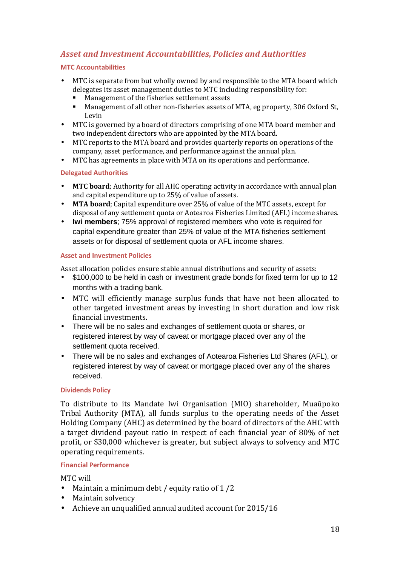## Asset and Investment Accountabilities, Policies and Authorities

## MTC Accountabilities

- MTC is separate from but wholly owned by and responsible to the MTA board which delegates its asset management duties to MTC including responsibility for:
	- Management of the fisheries settlement assets
	- Management of all other non-fisheries assets of MTA, eg property, 306 Oxford St, Levin
- MTC is governed by a board of directors comprising of one MTA board member and two independent directors who are appointed by the MTA board.
- MTC reports to the MTA board and provides quarterly reports on operations of the company, asset performance, and performance against the annual plan.
- MTC has agreements in place with MTA on its operations and performance.

## Delegated Authorities

- MTC board; Authority for all AHC operating activity in accordance with annual plan and capital expenditure up to 25% of value of assets.
- MTA board; Capital expenditure over 25% of value of the MTC assets, except for disposal of any settlement quota or Aotearoa Fisheries Limited (AFL) income shares.
- **Iwi members**; 75% approval of registered members who vote is required for capital expenditure greater than 25% of value of the MTA fisheries settlement assets or for disposal of settlement quota or AFL income shares.

## Asset and Investment Policies

Asset allocation policies ensure stable annual distributions and security of assets:

- \$100,000 to be held in cash or investment grade bonds for fixed term for up to 12 months with a trading bank.
- MTC will efficiently manage surplus funds that have not been allocated to other targeted investment areas by investing in short duration and low risk financial investments.
- There will be no sales and exchanges of settlement quota or shares, or registered interest by way of caveat or mortgage placed over any of the settlement quota received.
- There will be no sales and exchanges of Aotearoa Fisheries Ltd Shares (AFL), or registered interest by way of caveat or mortgage placed over any of the shares received.

## Dividends Policy

To distribute to its Mandate Iwi Organisation (MIO) shareholder, Muaūpoko Tribal Authority (MTA), all funds surplus to the operating needs of the Asset Holding Company (AHC) as determined by the board of directors of the AHC with a target dividend payout ratio in respect of each financial year of 80% of net profit, or \$30,000 whichever is greater, but subject always to solvency and MTC operating requirements.

## Financial Performance

MTC will

- Maintain a minimum debt / equity ratio of 1/2
- Maintain solvency
- Achieve an unqualified annual audited account for 2015/16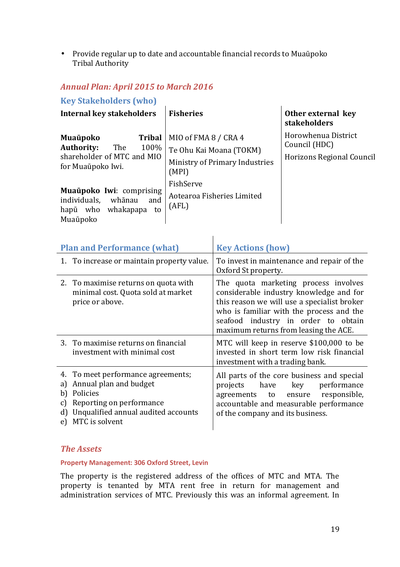• Provide regular up to date and accountable financial records to Muaūpoko Tribal Authority

## Annual Plan: April 2015 to March 2016

Key Stakeholders (who)

| Internal key stakeholders                                                                                               | <b>Fisheries</b>                                                                           | Other external key<br>stakeholders                                |
|-------------------------------------------------------------------------------------------------------------------------|--------------------------------------------------------------------------------------------|-------------------------------------------------------------------|
| <b>Muaūpoko</b><br><b>Tribal</b><br><b>Authority:</b><br>The<br>100%<br>shareholder of MTC and MIO<br>for Muaūpoko Iwi. | MIO of FMA 8 / CRA 4<br>Te Ohu Kai Moana (TOKM)<br>Ministry of Primary Industries<br>(MPI) | Horowhenua District<br>Council (HDC)<br>Horizons Regional Council |
| Muaūpoko Iwi: comprising<br>individuals,<br>whānau<br>and<br>hapū who<br>whakapapa<br>to<br>Muaūpoko                    | FishServe<br>Aotearoa Fisheries Limited<br>(AFL)                                           |                                                                   |

| <b>Plan and Performance (what)</b>                                                                                                                                                          | <b>Key Actions (how)</b>                                                                                                                                                                                                                                   |
|---------------------------------------------------------------------------------------------------------------------------------------------------------------------------------------------|------------------------------------------------------------------------------------------------------------------------------------------------------------------------------------------------------------------------------------------------------------|
| 1. To increase or maintain property value.                                                                                                                                                  | To invest in maintenance and repair of the<br>Oxford St property.                                                                                                                                                                                          |
| 2. To maximise returns on quota with<br>minimal cost. Quota sold at market<br>price or above.                                                                                               | The quota marketing process involves<br>considerable industry knowledge and for<br>this reason we will use a specialist broker<br>who is familiar with the process and the<br>seafood industry in order to obtain<br>maximum returns from leasing the ACE. |
| 3. To maximise returns on financial<br>investment with minimal cost                                                                                                                         | MTC will keep in reserve \$100,000 to be<br>invested in short term low risk financial<br>investment with a trading bank.                                                                                                                                   |
| 4. To meet performance agreements;<br>Annual plan and budget<br>a)<br>Policies<br>b)<br>Reporting on performance<br>C)<br>Unqualified annual audited accounts<br>d)<br>MTC is solvent<br>e) | All parts of the core business and special<br>performance<br>projects have key<br>agreements to ensure responsible,<br>accountable and measurable performance<br>of the company and its business.                                                          |

## The Assets

## Property Management: 306 Oxford Street, Levin

The property is the registered address of the offices of MTC and MTA. The property is tenanted by MTA rent free in return for management and administration services of MTC. Previously this was an informal agreement. In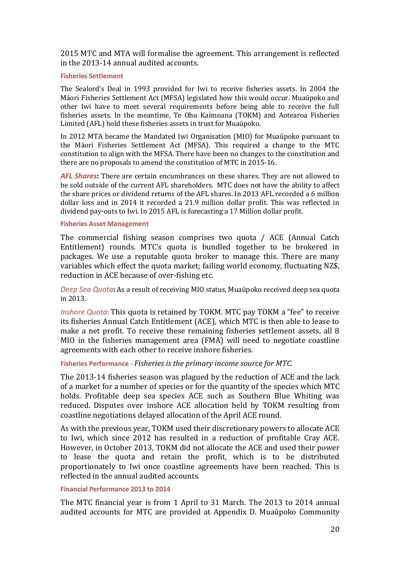2015 MTC and MTA will formalise the agreement. This arrangement is reflected in the 2013-14 annual audited accounts.

#### Fisheries Settlement

The Sealord's Deal in 1993 provided for Iwi to receive fisheries assets. In 2004 the Māori Fisheries Settlement Act (MFSA) legislated how this would occur. Muaūpoko and other Iwi have to meet several requirements before being able to receive the full fisheries assets. In the meantime, Te Ohu Kaimoana (TOKM) and Aotearoa Fisheries Limited (AFL) hold these fisheries assets in trust for Muaūpoko.

In 2012 MTA became the Mandated Iwi Organisation (MIO) for Muaūpoko pursuant to the Māori Fisheries Settlement Act (MFSA). This required a change to the MTC constitution to align with the MFSA. There have been no changes to the constitution and there are no proposals to amend the constitution of MTC in 2015-16.

AFL Shares: There are certain encumbrances on these shares. They are not allowed to be sold outside of the current AFL shareholders. MTC does not have the ability to affect the share prices or dividend returns of the AFL shares. In 2013 AFL recorded a 6 million dollar loss and in 2014 it recorded a 21.9 million dollar profit. This was reflected in dividend pay-outs to Iwi. In 2015 AFL is forecasting a 17 Million dollar profit.

#### Fisheries Asset Management

The commercial fishing season comprises two quota / ACE (Annual Catch Entitlement) rounds. MTC's quota is bundled together to be brokered in packages. We use a reputable quota broker to manage this. There are many variables which effect the quota market; failing world economy, fluctuating NZ\$, reduction in ACE because of over-fishing etc.

Deep Sea Quota: As a result of receiving MIO status, Muaūpoko received deep sea quota in 2013.

Inshore Quota: This quota is retained by TOKM. MTC pay TOKM a "fee" to receive its fisheries Annual Catch Entitlement (ACE), which MTC is then able to lease to make a net profit. To receive these remaining fisheries settlement assets, all 8 MIO in the fisheries management area (FMA) will need to negotiate coastline agreements with each other to receive inshore fisheries.

#### Fisheries Performance - Fisheries is the primary income source for MTC.

The 2013-14 fisheries season was plagued by the reduction of ACE and the lack of a market for a number of species or for the quantity of the species which MTC holds. Profitable deep sea species ACE such as Southern Blue Whiting was reduced. Disputes over inshore ACE allocation held by TOKM resulting from coastline negotiations delayed allocation of the April ACE round.

As with the previous year, TOKM used their discretionary powers to allocate ACE to Iwi, which since 2012 has resulted in a reduction of profitable Cray ACE. However, in October 2013, TOKM did not allocate the ACE and used their power to lease the quota and retain the profit, which is to be distributed proportionately to Iwi once coastline agreements have been reached. This is reflected in the annual audited accounts.

#### Financial Performance 2013 to 2014

The MTC financial year is from 1 April to 31 March. The 2013 to 2014 annual audited accounts for MTC are provided at Appendix D. Muaūpoko Community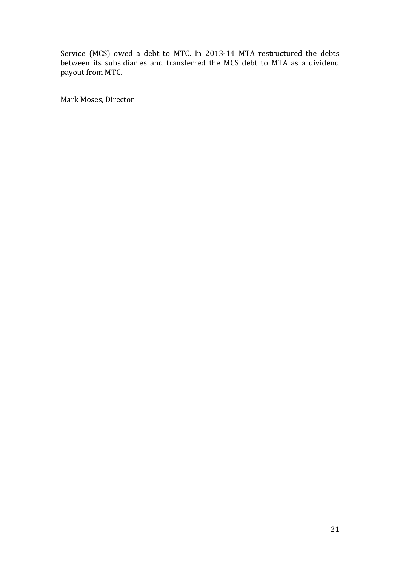Service (MCS) owed a debt to MTC. In 2013-14 MTA restructured the debts between its subsidiaries and transferred the MCS debt to MTA as a dividend payout from MTC.

Mark Moses, Director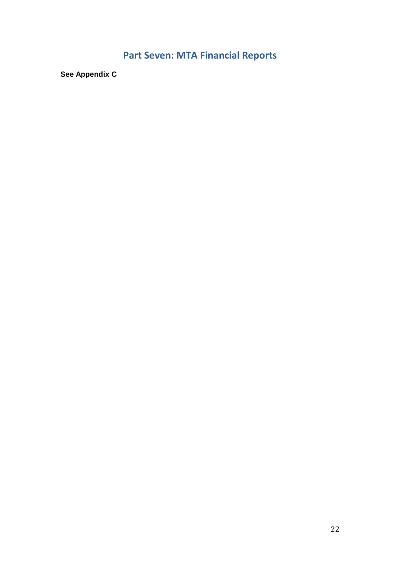# Part Seven: MTA Financial Reports

**See Appendix C**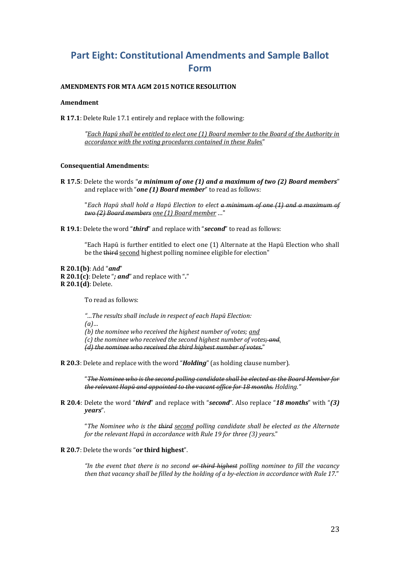## Part Eight: Constitutional Amendments and Sample Ballot Form

#### AMENDMENTS FOR MTA AGM 2015 NOTICE RESOLUTION

#### Amendment

R 17.1: Delete Rule 17.1 entirely and replace with the following:

"Each Hapū shall be entitled to elect one (1) Board member to the Board of the Authority in accordance with the voting procedures contained in these Rules"

#### Consequential Amendments:

R 17.5: Delete the words "a minimum of one (1) and a maximum of two (2) Board members" and replace with "one  $(1)$  Board member" to read as follows:

"Each Hapū shall hold a Hapū Election to elect a minimum of one (1) and a maximum of two (2) Board members one (1) Board member …"

R 19.1: Delete the word "third" and replace with "second" to read as follows:

"Each Hapū is further entitled to elect one (1) Alternate at the Hapū Election who shall be the third second highest polling nominee eligible for election"

R 20.1(b): Add "and"  $R$  20.1(c): Delete "; and" and replace with "." R 20.1(d): Delete.

To read as follows:

"…The results shall include in respect of each Hapū Election:  $(a)$ ... (b) the nominee who received the highest number of votes; and  $(c)$  the nominee who received the second highest number of votes $\div$  and. (d) the nominee who received the third highest number of votes."

R 20.3: Delete and replace with the word "Holding" (as holding clause number).

"The Nominee who is the second polling candidate shall be elected as the Board Member for the relevant Hapū and appointed to the vacant office for 18 months. Holding."

R 20.4: Delete the word "third" and replace with "second". Also replace "18 months" with "(3) years".

"The Nominee who is the third second polling candidate shall be elected as the Alternate for the relevant Hapū in accordance with Rule 19 for three (3) years."

#### R 20.7: Delete the words "or third highest".

"In the event that there is no second  $\theta$  third highest polling nominee to fill the vacancy then that vacancy shall be filled by the holding of a by-election in accordance with Rule 17."